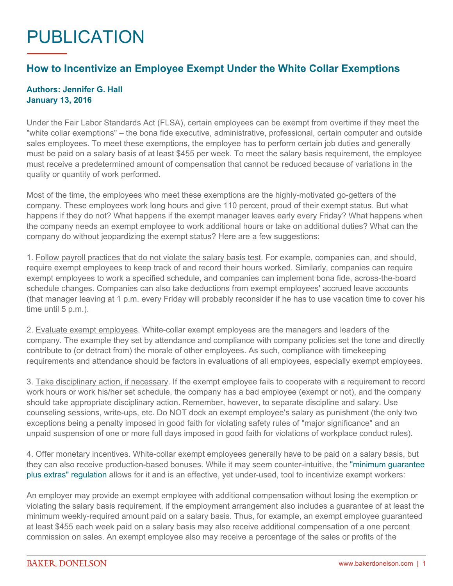## PUBLICATION

## **How to Incentivize an Employee Exempt Under the White Collar Exemptions**

## **Authors: Jennifer G. Hall January 13, 2016**

Under the Fair Labor Standards Act (FLSA), certain employees can be exempt from overtime if they meet the "white collar exemptions" – the bona fide executive, administrative, professional, certain computer and outside sales employees. To meet these exemptions, the employee has to perform certain job duties and generally must be paid on a salary basis of at least \$455 per week. To meet the salary basis requirement, the employee must receive a predetermined amount of compensation that cannot be reduced because of variations in the quality or quantity of work performed.

Most of the time, the employees who meet these exemptions are the highly-motivated go-getters of the company. These employees work long hours and give 110 percent, proud of their exempt status. But what happens if they do not? What happens if the exempt manager leaves early every Friday? What happens when the company needs an exempt employee to work additional hours or take on additional duties? What can the company do without jeopardizing the exempt status? Here are a few suggestions:

1. Follow payroll practices that do not violate the salary basis test. For example, companies can, and should, require exempt employees to keep track of and record their hours worked. Similarly, companies can require exempt employees to work a specified schedule, and companies can implement bona fide, across-the-board schedule changes. Companies can also take deductions from exempt employees' accrued leave accounts (that manager leaving at 1 p.m. every Friday will probably reconsider if he has to use vacation time to cover his time until 5 p.m.).

2. Evaluate exempt employees. White-collar exempt employees are the managers and leaders of the company. The example they set by attendance and compliance with company policies set the tone and directly contribute to (or detract from) the morale of other employees. As such, compliance with timekeeping requirements and attendance should be factors in evaluations of all employees, especially exempt employees.

3. Take disciplinary action, if necessary. If the exempt employee fails to cooperate with a requirement to record work hours or work his/her set schedule, the company has a bad employee (exempt or not), and the company should take appropriate disciplinary action. Remember, however, to separate discipline and salary. Use counseling sessions, write-ups, etc. Do NOT dock an exempt employee's salary as punishment (the only two exceptions being a penalty imposed in good faith for violating safety rules of "major significance" and an unpaid suspension of one or more full days imposed in good faith for violations of workplace conduct rules).

4. Offer monetary incentives. White-collar exempt employees generally have to be paid on a salary basis, but they can also receive production-based bonuses. While it may seem counter-intuitive, the ["minimum guarantee](https://www.gpo.gov/fdsys/pkg/CFR-2010-title29-vol3/pdf/CFR-2010-title29-vol3-sec541-604.pdf)  [plus extras" regulation](https://www.gpo.gov/fdsys/pkg/CFR-2010-title29-vol3/pdf/CFR-2010-title29-vol3-sec541-604.pdf) allows for it and is an effective, yet under-used, tool to incentivize exempt workers:

An employer may provide an exempt employee with additional compensation without losing the exemption or violating the salary basis requirement, if the employment arrangement also includes a guarantee of at least the minimum weekly-required amount paid on a salary basis. Thus, for example, an exempt employee guaranteed at least \$455 each week paid on a salary basis may also receive additional compensation of a one percent commission on sales. An exempt employee also may receive a percentage of the sales or profits of the